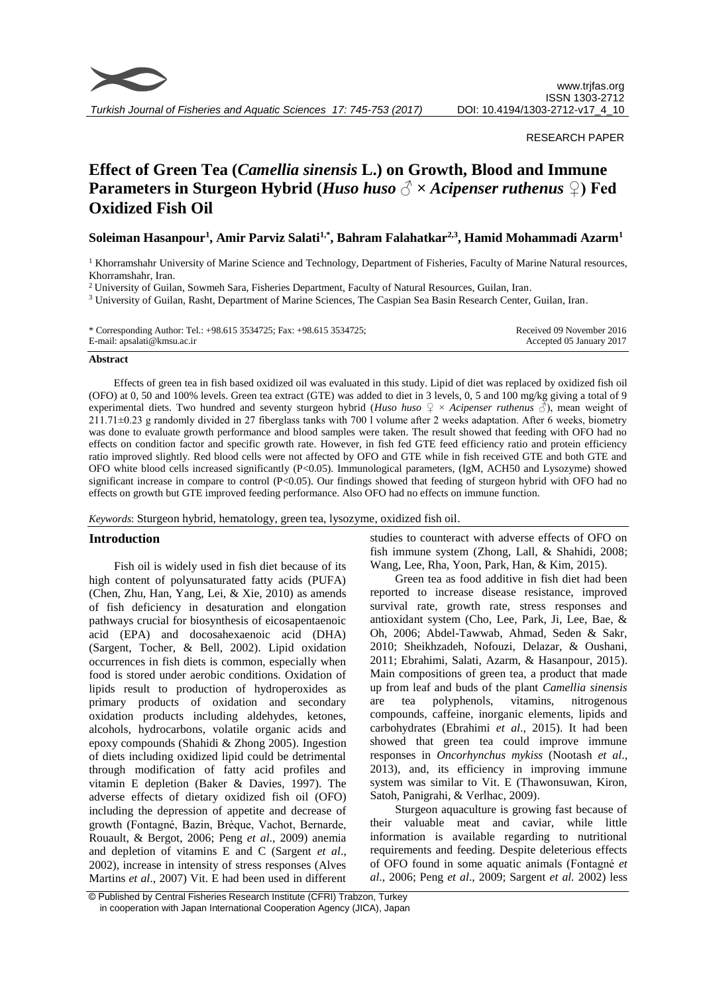

#### RESEARCH PAPER

# **Effect of Green Tea (***Camellia sinensis* **L.) on Growth, Blood and Immune Parameters in Sturgeon Hybrid (***Huso huso* **♂ ×** *Acipenser ruthenus* **♀) Fed Oxidized Fish Oil**

**Soleiman Hasanpour<sup>1</sup> , Amir Parviz Salati1,\*, Bahram Falahatkar2,3, Hamid Mohammadi Azarm<sup>1</sup>**

 $<sup>1</sup>$  Khorramshahr University of Marine Science and Technology, Department of Fisheries, Faculty of Marine Natural resources,</sup> Khorramshahr, Iran.

<sup>2</sup> University of Guilan, Sowmeh Sara, Fisheries Department, Faculty of Natural Resources, Guilan, Iran.

<sup>3</sup> University of Guilan, Rasht, Department of Marine Sciences, The Caspian Sea Basin Research Center, Guilan, Iran.

| * Corresponding Author: Tel.: +98.615 3534725; Fax: +98.615 3534725; | Received 09 November 2016 |
|----------------------------------------------------------------------|---------------------------|
| E-mail: apsalati@kmsu.ac.ir                                          | Accepted 05 January 2017  |

#### **Abstract**

Effects of green tea in fish based oxidized oil was evaluated in this study. Lipid of diet was replaced by oxidized fish oil (OFO) at 0, 50 and 100% levels. Green tea extract (GTE) was added to diet in 3 levels, 0, 5 and 100 mg/kg giving a total of 9 experimental diets. Two hundred and seventy sturgeon hybrid (*Huso huso* ♀ × *Acipenser ruthenus* ♂), mean weight of 211.71±0.23 g randomly divided in 27 fiberglass tanks with 700 l volume after 2 weeks adaptation. After 6 weeks, biometry was done to evaluate growth performance and blood samples were taken. The result showed that feeding with OFO had no effects on condition factor and specific growth rate. However, in fish fed GTE feed efficiency ratio and protein efficiency ratio improved slightly. Red blood cells were not affected by OFO and GTE while in fish received GTE and both GTE and OFO white blood cells increased significantly (P<0.05). Immunological parameters, (IgM, ACH50 and Lysozyme) showed significant increase in compare to control (P<0.05). Our findings showed that feeding of sturgeon hybrid with OFO had no effects on growth but GTE improved feeding performance. Also OFO had no effects on immune function.

*Keywords*: Sturgeon hybrid, hematology, green tea, lysozyme, oxidized fish oil.

# **Introduction**

Fish oil is widely used in fish diet because of its high content of polyunsaturated fatty acids (PUFA) (Chen, Zhu, Han, Yang, Lei, & Xie, 2010) as amends of fish deficiency in desaturation and elongation pathways crucial for biosynthesis of eicosapentaenoic acid (EPA) and docosahexaenoic acid (DHA) (Sargent, Tocher, & Bell, 2002). Lipid oxidation occurrences in fish diets is common, especially when food is stored under aerobic conditions. Oxidation of lipids result to production of hydroperoxides as primary products of oxidation and secondary oxidation products including aldehydes, ketones, alcohols, hydrocarbons, volatile organic acids and epoxy compounds (Shahidi & Zhong 2005). Ingestion of diets including oxidized lipid could be detrimental through modification of fatty acid profiles and vitamin E depletion (Baker & Davies, 1997). The adverse effects of dietary oxidized fish oil (OFO) including the depression of appetite and decrease of growth (Fontagné, Bazin, Brèque, Vachot, Bernarde, Rouault, & Bergot, 2006; Peng *et al*., 2009) anemia and depletion of vitamins E and C (Sargent *et al*., 2002), increase in intensity of stress responses (Alves Martins *et al*., 2007) Vit. E had been used in different studies to counteract with adverse effects of OFO on fish immune system (Zhong, Lall, & Shahidi, 2008; Wang, Lee, Rha, Yoon, Park, Han, & Kim, 2015).

Green tea as food additive in fish diet had been reported to increase disease resistance, improved survival rate, growth rate, stress responses and antioxidant system (Cho, Lee, Park, Ji, Lee, Bae, & Oh, 2006; Abdel-Tawwab, Ahmad, Seden & Sakr, 2010; Sheikhzadeh, Nofouzi, Delazar, & Oushani, 2011; Ebrahimi, Salati, Azarm, & Hasanpour, 2015). Main compositions of green tea, a product that made up from leaf and buds of the plant *Camellia sinensis* are tea polyphenols, vitamins, nitrogenous compounds, caffeine, inorganic elements, lipids and carbohydrates (Ebrahimi *et al*., 2015). It had been showed that green tea could improve immune responses in *Oncorhynchus mykiss* (Nootash *et al*., 2013), and, its efficiency in improving immune system was similar to Vit. E (Thawonsuwan, Kiron, Satoh, Panigrahi, & Verlhac, 2009).

Sturgeon aquaculture is growing fast because of their valuable meat and caviar, while little information is available regarding to nutritional requirements and feeding. Despite deleterious effects of OFO found in some aquatic animals (Fontagné *et al*., 2006; Peng *et al*., 2009; Sargent *et al.* 2002) less

<sup>©</sup> Published by Central Fisheries Research Institute (CFRI) Trabzon, Turkey in cooperation with Japan International Cooperation Agency (JICA), Japan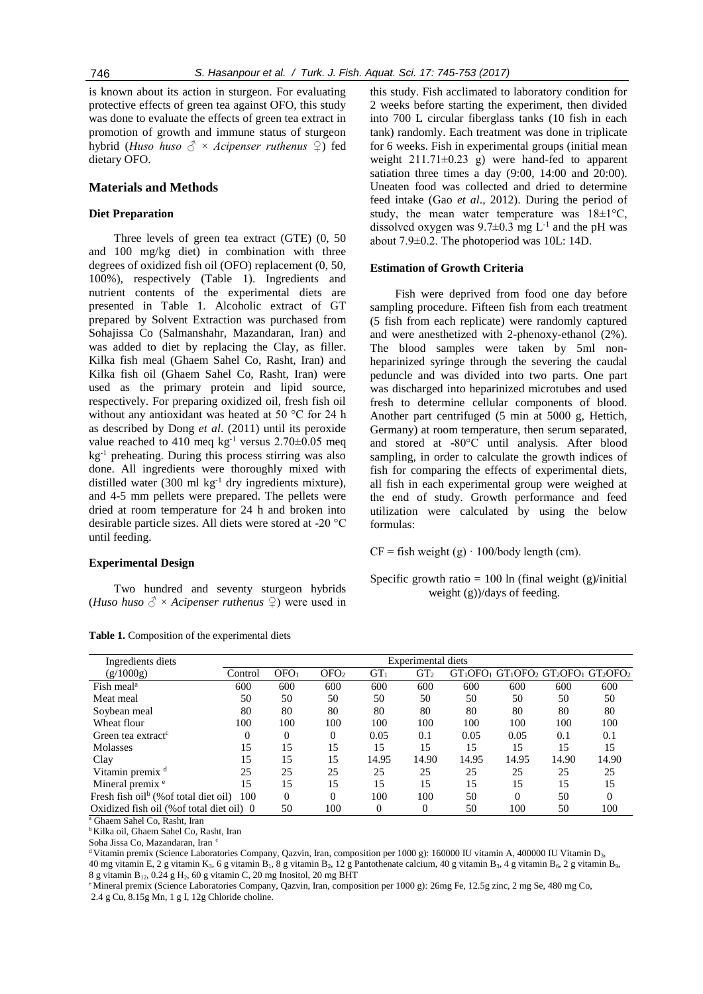is known about its action in sturgeon. For evaluating protective effects of green tea against OFO, this study was done to evaluate the effects of green tea extract in promotion of growth and immune status of sturgeon hybrid (*Huso huso ♂* × *Acipenser ruthenus ♀*) fed dietary OFO.

# **Materials and Methods**

# **Diet Preparation**

Three levels of green tea extract (GTE) (0, 50 and 100 mg/kg diet) in combination with three degrees of oxidized fish oil (OFO) replacement (0, 50, 100%), respectively (Table 1). Ingredients and nutrient contents of the experimental diets are presented in Table 1. Alcoholic extract of GT prepared by Solvent Extraction was purchased from Sohajissa Co (Salmanshahr, Mazandaran, Iran) and was added to diet by replacing the Clay, as filler. Kilka fish meal (Ghaem Sahel Co, Rasht, Iran) and Kilka fish oil (Ghaem Sahel Co, Rasht, Iran) were used as the primary protein and lipid source, respectively. For preparing oxidized oil, fresh fish oil without any antioxidant was heated at 50 °C for 24 h as described by Dong *et al*. (2011) until its peroxide value reached to 410 meq  $kg^{-1}$  versus 2.70 $\pm$ 0.05 meq  $kg<sup>-1</sup>$  preheating. During this process stirring was also done. All ingredients were thoroughly mixed with distilled water  $(300 \text{ ml kg}^{-1} \text{ dry ingredients mixture})$ , and 4-5 mm pellets were prepared. The pellets were dried at room temperature for 24 h and broken into desirable particle sizes. All diets were stored at -20 °C until feeding.

# **Experimental Design**

Two hundred and seventy sturgeon hybrids (*Huso huso*  $\partial^2 \times$  *Acipenser ruthenus*  $\partial$ ) were used in

| <b>Table 1.</b> Composition of the experimental diets |
|-------------------------------------------------------|
|-------------------------------------------------------|

this study. Fish acclimated to laboratory condition for 2 weeks before starting the experiment, then divided into 700 L circular fiberglass tanks (10 fish in each tank) randomly. Each treatment was done in triplicate for 6 weeks. Fish in experimental groups (initial mean weight  $211.71\pm0.23$  g) were hand-fed to apparent satiation three times a day (9:00, 14:00 and 20:00). Uneaten food was collected and dried to determine feed intake (Gao *et al*., 2012). During the period of study, the mean water temperature was  $18 \pm 1^{\circ}$ C, dissolved oxygen was  $9.7 \pm 0.3$  mg L<sup>-1</sup> and the pH was about 7.9±0.2. The photoperiod was 10L: 14D.

#### **Estimation of Growth Criteria**

Fish were deprived from food one day before sampling procedure. Fifteen fish from each treatment (5 fish from each replicate) were randomly captured and were anesthetized with 2-phenoxy-ethanol (2%). The blood samples were taken by 5ml nonheparinized syringe through the severing the caudal peduncle and was divided into two parts. One part was discharged into heparinized microtubes and used fresh to determine cellular components of blood. Another part centrifuged (5 min at 5000 g, Hettich, Germany) at room temperature, then serum separated, and stored at -80°C until analysis. After blood sampling, in order to calculate the growth indices of fish for comparing the effects of experimental diets, all fish in each experimental group were weighed at the end of study. Growth performance and feed utilization were calculated by using the below formulas:

 $CF = fish weight(g) \cdot 100/body length (cm).$ 

Specific growth ratio  $= 100$  ln (final weight (g)/initial weight (g))/days of feeding.

| Ingredients diets                                       | Experimental diets |                  |                  |                 |                 |       |                                   |       |       |
|---------------------------------------------------------|--------------------|------------------|------------------|-----------------|-----------------|-------|-----------------------------------|-------|-------|
| (g/1000g)                                               | Control            | OFO <sub>1</sub> | OFO <sub>2</sub> | GT <sub>1</sub> | GT <sub>2</sub> |       | $GT1OFO1 GT1OFO2 GT2OFO1 GT2OFO2$ |       |       |
| Fish meal <sup>a</sup>                                  | 600                | 600              | 600              | 600             | 600             | 600   | 600                               | 600   | 600   |
| Meat meal                                               | 50                 | 50               | 50               | 50              | 50              | 50    | 50                                | 50    | 50    |
| Soybean meal                                            | 80                 | 80               | 80               | 80              | 80              | 80    | 80                                | 80    | 80    |
| Wheat flour                                             | 100                | 100              | 100              | 100             | 100             | 100   | 100                               | 100   | 100   |
| Green tea extract <sup>c</sup>                          |                    | 0                | $\Omega$         | 0.05            | 0.1             | 0.05  | 0.05                              | 0.1   | 0.1   |
| <b>Molasses</b>                                         | 15                 | 15               | 15               | 15              | 15              | 15    | 15                                | 15    | 15    |
| Clay                                                    | 15                 | 15               | 15               | 14.95           | 14.90           | 14.95 | 14.95                             | 14.90 | 14.90 |
| Vitamin premix <sup>d</sup>                             | 25                 | 25               | 25               | 25              | 25              | 25    | 25                                | 25    | 25    |
| Mineral premix <sup>e</sup>                             | 15                 | 15               | 15               | 15              | 15              | 15    | 15                                | 15    | 15    |
| Fresh fish oil <sup>b</sup> (% of total diet oil)       | 100                | 0                | $\Omega$         | 100             | 100             | 50    | $\Omega$                          | 50    | 0     |
| Oxidized fish oil (% of total diet oil) 0<br>-----<br>. |                    | 50               | 100              | $\Omega$        | $\overline{0}$  | 50    | 100                               | 50    | 100   |

<sup>a</sup> Ghaem Sahel Co, Rasht, Iran

<sup>b</sup> Kilka oil, Ghaem Sahel Co, Rasht, Iran

Soha Jissa Co, Mazandaran, Iran <sup>c</sup>

<sup>d</sup> Vitamin premix (Science Laboratories Company, Qazvin, Iran, composition per 1000 g): 160000 IU vitamin A, 400000 IU Vitamin D<sub>3</sub>, 40 mg vitamin E, 2 g vitamin K<sub>3</sub>, 6 g vitamin B<sub>1</sub>, 8 g vitamin B<sub>2</sub>, 12 g Pantothenate calcium, 40 g vitamin B<sub>3</sub>, 4 g vitamin B<sub>6</sub>, 2 g vitamin B<sub>9</sub>, 8 g vitamin  $B_{12}$ , 0.24 g H<sub>2</sub>, 60 g vitamin C, 20 mg Inositol, 20 mg BHT

<sup>e</sup> Mineral premix (Science Laboratories Company, Qazvin, Iran, composition per 1000 g): 26mg Fe, 12.5g zinc, 2 mg Se, 480 mg Co, 2.4 g Cu, 8.15g Mn, 1 g I, 12g Chloride choline.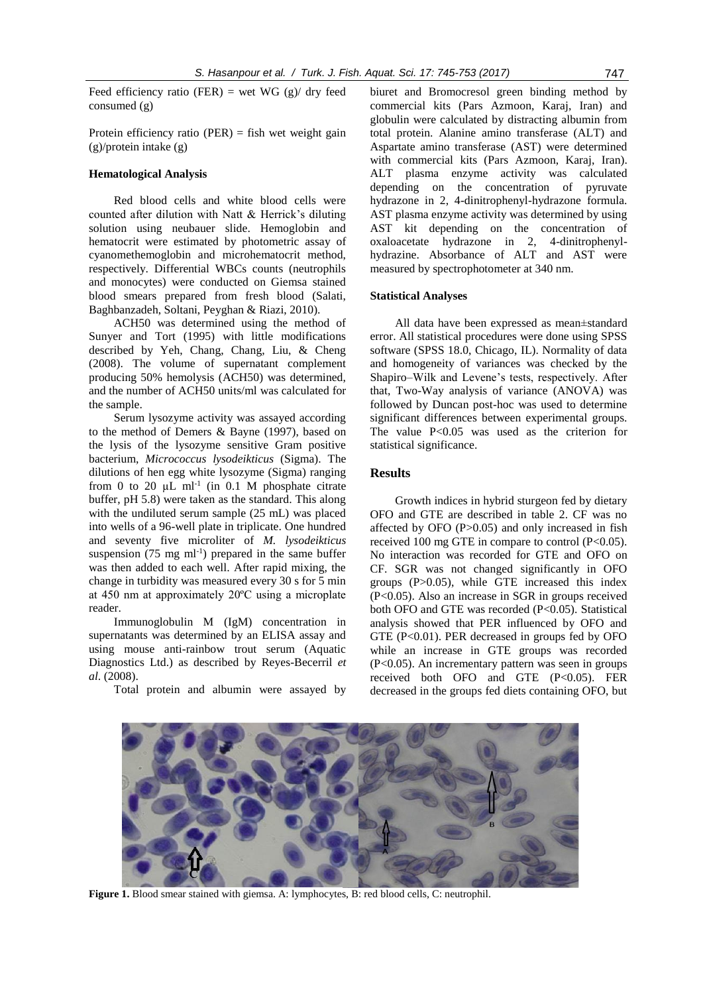Feed efficiency ratio (FER) = wet WG  $(g)$ / dry feed consumed (g)

Protein efficiency ratio (PER) = fish wet weight gain (g)/protein intake (g)

#### **Hematological Analysis**

Red blood cells and white blood cells were counted after dilution with Natt & Herrick's diluting solution using neubauer slide. Hemoglobin and hematocrit were estimated by photometric assay of cyanomethemoglobin and microhematocrit method, respectively. Differential WBCs counts (neutrophils and monocytes) were conducted on Giemsa stained blood smears prepared from fresh blood (Salati, Baghbanzadeh, Soltani, Peyghan & Riazi, 2010).

ACH50 was determined using the method of Sunyer and Tort (1995) with little modifications described by Yeh, Chang, Chang, Liu, & Cheng (2008). The volume of supernatant complement producing 50% hemolysis (ACH50) was determined, and the number of ACH50 units/ml was calculated for the sample.

Serum lysozyme activity was assayed according to the method of Demers & Bayne (1997), based on the lysis of the lysozyme sensitive Gram positive bacterium, *Micrococcus lysodeikticus* (Sigma). The dilutions of hen egg white lysozyme (Sigma) ranging from 0 to 20  $\mu$ L ml<sup>-1</sup> (in 0.1 M phosphate citrate buffer, pH 5.8) were taken as the standard. This along with the undiluted serum sample (25 mL) was placed into wells of a 96-well plate in triplicate. One hundred and seventy five microliter of *M. lysodeikticus* suspension  $(75 \text{ mg ml}^{-1})$  prepared in the same buffer was then added to each well. After rapid mixing, the change in turbidity was measured every 30 s for 5 min at 450 nm at approximately 20ºC using a microplate reader.

Immunoglobulin M (IgM) concentration in supernatants was determined by an ELISA assay and using mouse anti-rainbow trout serum (Aquatic Diagnostics Ltd.) as described by Reyes-Becerril *et al*. (2008).

Total protein and albumin were assayed by

biuret and Bromocresol green binding method by commercial kits (Pars Azmoon, Karaj, Iran) and globulin were calculated by distracting albumin from total protein. Alanine amino transferase (ALT) and Aspartate amino transferase (AST) were determined with commercial kits (Pars Azmoon, Karaj, Iran). ALT plasma enzyme activity was calculated depending on the concentration of pyruvate hydrazone in 2, 4-dinitrophenyl-hydrazone formula. AST plasma enzyme activity was determined by using AST kit depending on the concentration of oxaloacetate hydrazone in 2, 4-dinitrophenylhydrazine. Absorbance of ALT and AST were measured by spectrophotometer at 340 nm.

#### **Statistical Analyses**

All data have been expressed as mean±standard error. All statistical procedures were done using SPSS software (SPSS 18.0, Chicago, IL). Normality of data and homogeneity of variances was checked by the Shapiro–Wilk and Levene's tests, respectively. After that, Two-Way analysis of variance (ANOVA) was followed by Duncan post-hoc was used to determine significant differences between experimental groups. The value  $P<0.05$  was used as the criterion for statistical significance.

# **Results**

Growth indices in hybrid sturgeon fed by dietary OFO and GTE are described in table 2. CF was no affected by OFO (P>0.05) and only increased in fish received 100 mg GTE in compare to control (P<0.05). No interaction was recorded for GTE and OFO on CF. SGR was not changed significantly in OFO groups (P>0.05), while GTE increased this index (P<0.05). Also an increase in SGR in groups received both OFO and GTE was recorded (P<0.05). Statistical analysis showed that PER influenced by OFO and GTE (P<0.01). PER decreased in groups fed by OFO while an increase in GTE groups was recorded (P<0.05). An incrementary pattern was seen in groups received both OFO and GTE (P<0.05). FER decreased in the groups fed diets containing OFO, but

**Figure 1.** Blood smear stained with giemsa. A: lymphocytes, B: red blood cells, C: neutrophil.

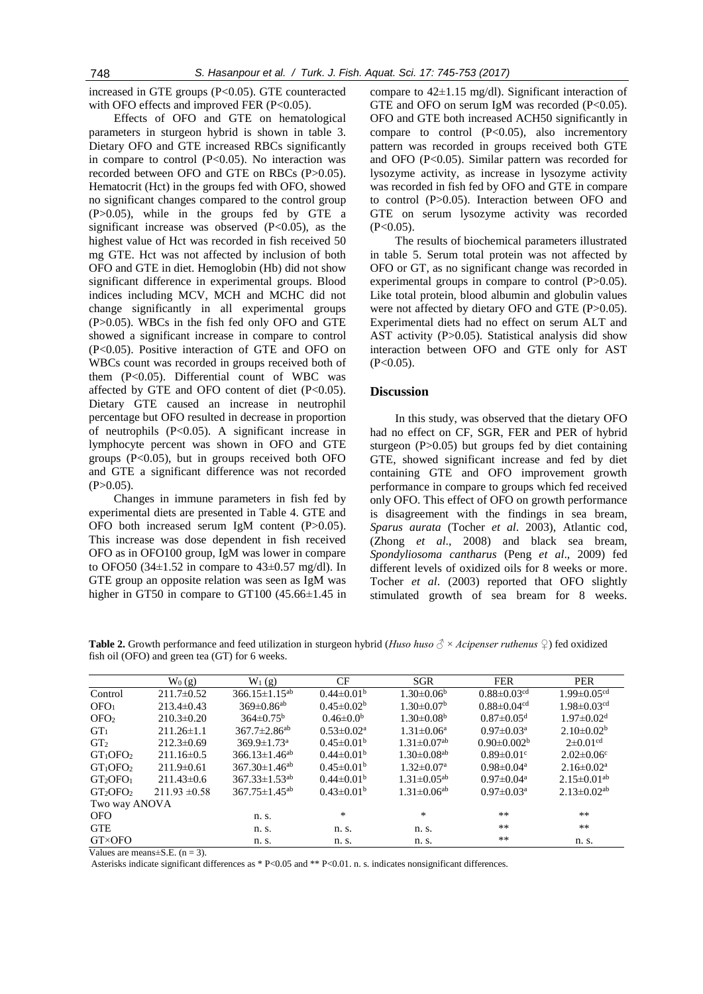increased in GTE groups (P<0.05). GTE counteracted with OFO effects and improved FER  $(P<0.05)$ .

Effects of OFO and GTE on hematological parameters in sturgeon hybrid is shown in table 3. Dietary OFO and GTE increased RBCs significantly in compare to control  $(P<0.05)$ . No interaction was recorded between OFO and GTE on RBCs (P>0.05). Hematocrit (Hct) in the groups fed with OFO, showed no significant changes compared to the control group (P>0.05), while in the groups fed by GTE a significant increase was observed (P<0.05), as the highest value of Hct was recorded in fish received 50 mg GTE. Hct was not affected by inclusion of both OFO and GTE in diet. Hemoglobin (Hb) did not show significant difference in experimental groups. Blood indices including MCV, MCH and MCHC did not change significantly in all experimental groups (P>0.05). WBCs in the fish fed only OFO and GTE showed a significant increase in compare to control (P<0.05). Positive interaction of GTE and OFO on WBCs count was recorded in groups received both of them (P<0.05). Differential count of WBC was affected by GTE and OFO content of diet (P<0.05). Dietary GTE caused an increase in neutrophil percentage but OFO resulted in decrease in proportion of neutrophils (P<0.05). A significant increase in lymphocyte percent was shown in OFO and GTE groups (P<0.05), but in groups received both OFO and GTE a significant difference was not recorded  $(P>0.05)$ .

Changes in immune parameters in fish fed by experimental diets are presented in Table 4. GTE and OFO both increased serum IgM content (P>0.05). This increase was dose dependent in fish received OFO as in OFO100 group, IgM was lower in compare to OFO50 (34 $\pm$ 1.52 in compare to 43 $\pm$ 0.57 mg/dl). In GTE group an opposite relation was seen as IgM was higher in GT50 in compare to GT100 (45.66±1.45 in

compare to  $42\pm1.15$  mg/dl). Significant interaction of GTE and OFO on serum IgM was recorded (P<0.05). OFO and GTE both increased ACH50 significantly in compare to control (P<0.05), also incrementory pattern was recorded in groups received both GTE and OFO (P<0.05). Similar pattern was recorded for lysozyme activity, as increase in lysozyme activity was recorded in fish fed by OFO and GTE in compare to control (P>0.05). Interaction between OFO and GTE on serum lysozyme activity was recorded  $(P<0.05)$ .

The results of biochemical parameters illustrated in table 5. Serum total protein was not affected by OFO or GT, as no significant change was recorded in experimental groups in compare to control (P>0.05). Like total protein, blood albumin and globulin values were not affected by dietary OFO and GTE (P>0.05). Experimental diets had no effect on serum ALT and AST activity (P>0.05). Statistical analysis did show interaction between OFO and GTE only for AST  $(P<0.05)$ .

# **Discussion**

In this study, was observed that the dietary OFO had no effect on CF, SGR, FER and PER of hybrid sturgeon (P>0.05) but groups fed by diet containing GTE, showed significant increase and fed by diet containing GTE and OFO improvement growth performance in compare to groups which fed received only OFO. This effect of OFO on growth performance is disagreement with the findings in sea bream, *Sparus aurata* (Tocher *et al*. 2003), Atlantic cod, (Zhong *et al*., 2008) and black sea bream, *Spondyliosoma cantharus* (Peng *et al*., 2009) fed different levels of oxidized oils for 8 weeks or more. Tocher *et al*. (2003) reported that OFO slightly stimulated growth of sea bream for 8 weeks.

| fish oil (OFO) and green tea (GT) for 6 weeks. |                   |                                 |                         |                               |                               |                                 |  |  |
|------------------------------------------------|-------------------|---------------------------------|-------------------------|-------------------------------|-------------------------------|---------------------------------|--|--|
|                                                | $W_0(g)$          | $W_1(g)$                        | CF                      | SGR                           | <b>FER</b>                    | PER                             |  |  |
| Control                                        | $211.7 \pm 0.52$  | $366.15 \pm 1.15^{ab}$          | $0.44 \pm 0.01^b$       | $1.30 \pm 0.06^b$             | $0.88 \pm 0.03$ <sup>cd</sup> | $1.99 \pm 0.05^{\overline{cd}}$ |  |  |
| OFO <sub>1</sub>                               | $213.4 \pm 0.43$  | $369 \pm 0.86$ <sup>ab</sup>    | $0.45 \pm 0.02^b$       | $1.30 \pm 0.07^{\rm b}$       | $0.88 \pm 0.04$ <sup>cd</sup> | $1.98 \pm 0.03$ <sup>cd</sup>   |  |  |
| OFO <sub>2</sub>                               | $210.3 \pm 0.20$  | $364\pm0.75^{\rm b}$            | $0.46 \pm 0.0^b$        | $1.30\pm0.08b$                | $0.87 \pm 0.05$ <sup>d</sup>  | $1.97 \pm 0.02$ <sup>d</sup>    |  |  |
| GT <sub>1</sub>                                | $211.26 \pm 1.1$  | $367.7 \pm 2.86$ <sup>ab</sup>  | $0.53 \pm 0.02^a$       | $1.31 \pm 0.06^a$             | $0.97 \pm 0.03$ <sup>a</sup>  | $2.10\pm0.02^b$                 |  |  |
| GT <sub>2</sub>                                | $212.3 \pm 0.69$  | $369.9 \pm 1.73$ <sup>a</sup>   | $0.45 \pm 0.01^{\rm b}$ | $1.31 \pm 0.07$ <sup>ab</sup> | $0.90 \pm 0.002^b$            | $2\pm 0.01$ <sup>cd</sup>       |  |  |
| $GT_1$ OFO <sub>2</sub>                        | $211.16\pm0.5$    | $366.13 \pm 1.46^{ab}$          | $0.44 \pm 0.01^b$       | $1.30 \pm 0.08$ <sup>ab</sup> | $0.89 \pm 0.01$ <sup>c</sup>  | $2.02 \pm 0.06$ <sup>c</sup>    |  |  |
| $GT_1$ OFO <sub>2</sub>                        | $211.9\pm 0.61$   | $367.30 \pm 1.46$ <sup>ab</sup> | $0.45 \pm 0.01^{\rm b}$ | $1.32 \pm 0.07$ <sup>a</sup>  | $0.98 \pm 0.04$ <sup>a</sup>  | $2.16 \pm 0.02^a$               |  |  |
| GT <sub>2</sub> OFO <sub>1</sub>               | $211.43\pm0.6$    | $367.33 \pm 1.53^{ab}$          | $0.44 \pm 0.01^b$       | $1.31 \pm 0.05^{ab}$          | $0.97 \pm 0.04$ <sup>a</sup>  | $2.15 \pm 0.01$ <sup>ab</sup>   |  |  |
| GT <sub>2</sub> OFO <sub>2</sub>               | $211.93 \pm 0.58$ | $367.75 \pm 1.45^{ab}$          | $0.43 \pm 0.01^b$       | $1.31 \pm 0.06^{ab}$          | $0.97 \pm 0.03$ <sup>a</sup>  | $2.13 \pm 0.02$ <sup>ab</sup>   |  |  |
| Two way ANOVA                                  |                   |                                 |                         |                               |                               |                                 |  |  |
| <b>OFO</b>                                     |                   | n. s.                           | *                       | $\ast$                        | **                            | $***$                           |  |  |
| <b>GTE</b>                                     |                   | n. s.                           | n. s.                   | n. s.                         | **                            | **                              |  |  |
| <b>GT×OFO</b>                                  |                   | n. s.                           | n. s.                   | n. s.                         | **                            | n. s.                           |  |  |

**Table 2.** Growth performance and feed utilization in sturgeon hybrid (*Huso huso ♂* × *Acipenser ruthenus ♀*) fed oxidized fish oil (OFO) and green tea (GT) for 6 weeks.

Values are means $\pm$ S.E. (n = 3).

Asterisks indicate significant differences as \* P<0.05 and \*\* P<0.01. n. s. indicates nonsignificant differences.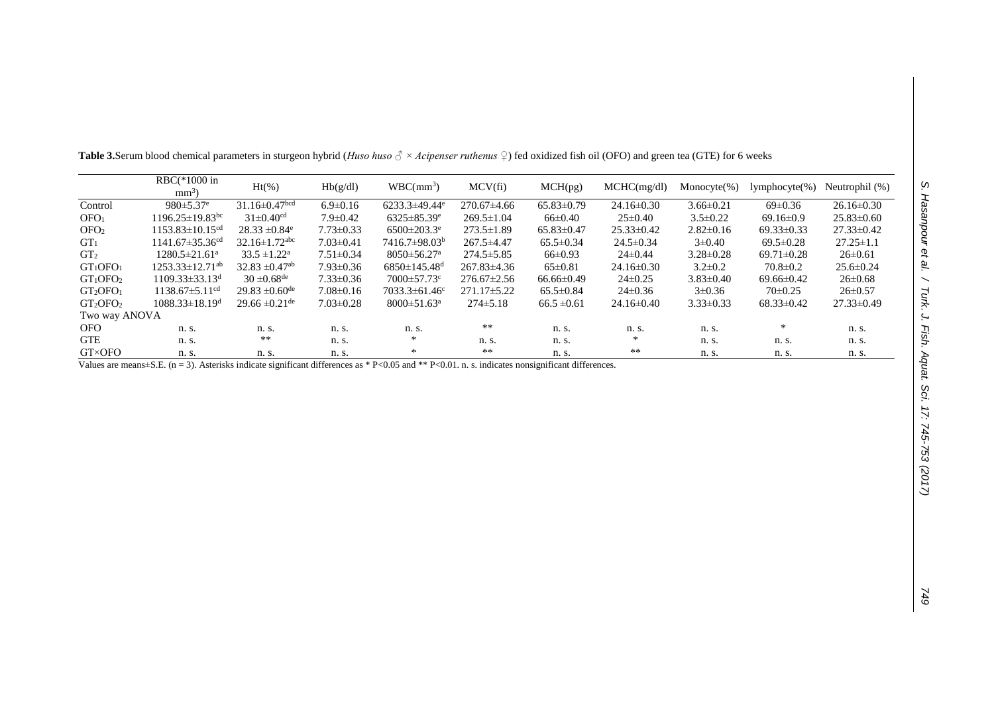| יום בין ומסמו ו/המוני בי                              |
|-------------------------------------------------------|
|                                                       |
|                                                       |
| <b>COLLACT ACTS Aduat Summer</b>                      |
|                                                       |
|                                                       |
|                                                       |
| ŗ                                                     |
| / / : / 45-/53 (2017 /<br>$\frac{1}{2}$<br> <br> <br> |
|                                                       |

|                                  | $RBC(*1000 in$<br>$mm3$ )         | $Ht(\%)$                        | Hb(g/dl)        | $WBC(mm^3)$                     | MCV(f <sub>i</sub> ) | MCH(pg)          | MCHC(mg/dl)      | $Monocyte(\% )$ | $lymphocyte(\% )$ | Neutrophil (%)   |
|----------------------------------|-----------------------------------|---------------------------------|-----------------|---------------------------------|----------------------|------------------|------------------|-----------------|-------------------|------------------|
| Control                          | $980 \pm 5.37$ <sup>e</sup>       | $31.16\pm0.47$ <sup>bcd</sup>   | $6.9 \pm 0.16$  | $6233.3 \pm 49.44$ <sup>e</sup> | $270.67\pm4.66$      | $65.83 \pm 0.79$ | $24.16 \pm 0.30$ | $3.66 \pm 0.21$ | $69 \pm 0.36$     | $26.16 \pm 0.30$ |
| OFO <sub>1</sub>                 | $1196.25 \pm 19.83$ <sup>bc</sup> | $31 \pm 0.40$ <sup>cd</sup>     | $7.9 \pm 0.42$  | $6325 \pm 85.39$ <sup>e</sup>   | $269.5 \pm 1.04$     | $66\pm0.40$      | $25 \pm 0.40$    | $3.5 \pm 0.22$  | $69.16 \pm 0.9$   | $25.83 \pm 0.60$ |
| OFO <sub>2</sub>                 | $1153.83 \pm 10.15$ <sup>cd</sup> | $28.33 \pm 0.84$ <sup>e</sup>   | $7.73 \pm 0.33$ | $6500 \pm 203.3$ <sup>e</sup>   | $273.5 \pm 1.89$     | $65.83\pm0.47$   | $25.33 \pm 0.42$ | $2.82 \pm 0.16$ | $69.33 \pm 0.33$  | $27.33 \pm 0.42$ |
| GT <sub>1</sub>                  | $1141.67 \pm 35.36$ <sup>cd</sup> | $32.16 \pm 1.72$ <sup>abc</sup> | $7.03 \pm 0.41$ | $7416.7\pm98.03^b$              | $267.5 \pm 4.47$     | $65.5 \pm 0.34$  | $24.5 \pm 0.34$  | $3 \pm 0.40$    | $69.5 \pm 0.28$   | $27.25 \pm 1.1$  |
| GT <sub>2</sub>                  | $1280.5 \pm 21.61$ <sup>a</sup>   | $33.5 \pm 1.22^{\text{a}}$      | $7.51 \pm 0.34$ | $8050 \pm 56.27$ <sup>a</sup>   | $274.5 \pm 5.85$     | $66\pm0.93$      | $24\pm0.44$      | $3.28 \pm 0.28$ | $69.71 \pm 0.28$  | $26 \pm 0.61$    |
| GT <sub>1</sub> OFO <sub>1</sub> | $1253.33 \pm 12.71$ <sup>ab</sup> | $32.83 \pm 0.47$ <sup>ab</sup>  | $7.93 \pm 0.36$ | $6850 \pm 145.48$ <sup>d</sup>  | $267.83\pm4.36$      | $65 \pm 0.81$    | $24.16 \pm 0.30$ | $3.2 \pm 0.2$   | $70.8 \pm 0.2$    | $25.6 \pm 0.24$  |
| $GT_1$ OFO <sub>2</sub>          | $1109.33 \pm 33.13$ <sup>d</sup>  | $30 \pm 0.68$ <sup>de</sup>     | $7.33 \pm 0.36$ | $7000 \pm 57.73$ °              | $276.67 \pm 2.56$    | $66.66 \pm 0.49$ | $24\pm0.25$      | $3.83 \pm 0.40$ | $69.66 \pm 0.42$  | $26 \pm 0.68$    |
| GT <sub>2</sub> OPO <sub>1</sub> | $1138.67 \pm 5.11$ <sup>cd</sup>  | $29.83 \pm 0.60$ <sup>de</sup>  | $7.08 \pm 0.16$ | $7033.3 \pm 61.46$ <sup>c</sup> | $271.17\pm5.22$      | $65.5 \pm 0.84$  | $24\pm0.36$      | $3\pm 0.36$     | $70\pm0.25$       | $26 \pm 0.57$    |
| GT <sub>2</sub> OFO <sub>2</sub> | $1088.33 \pm 18.19$ <sup>d</sup>  | $29.66 \pm 0.21$ <sup>de</sup>  | $7.03 \pm 0.28$ | $8000 \pm 51.63$ <sup>a</sup>   | $274\pm5.18$         | $66.5 \pm 0.61$  | $24.16 \pm 0.40$ | $3.33\pm0.33$   | $68.33 \pm 0.42$  | $27.33 \pm 0.49$ |
| Two way ANOVA                    |                                   |                                 |                 |                                 |                      |                  |                  |                 |                   |                  |
| OFO.                             | n. s.                             | n. s.                           | n. s.           | n. s.                           | **                   | n. s.            | n. s.            | n. s.           | $\ast$            | n. s.            |
| <b>GTE</b>                       | n. s.                             | **                              | n. s.           | $\ast$                          | n. s.                | n. s.            | $\ast$           | n. s.           | n. s.             | n. s.            |
| <b>GT×OFO</b>                    | n. s.                             | n. s.                           | n. s.           | ∗                               | **                   | n. s.            | $***$            | n. s.           | n. s.             | n. s.            |

**Table 3.**Serum blood chemical parameters in sturgeon hybrid (*Huso huso ♂ × Acipenser ruthenus ♀*) fed oxidized fish oil (OFO) and green tea (GTE) for 6 weeks

Values are means±S.E. (n = 3). Asterisks indicate significant differences as \* P<0.05 and \*\* P<0.01. n. s. indicates nonsignificant differences.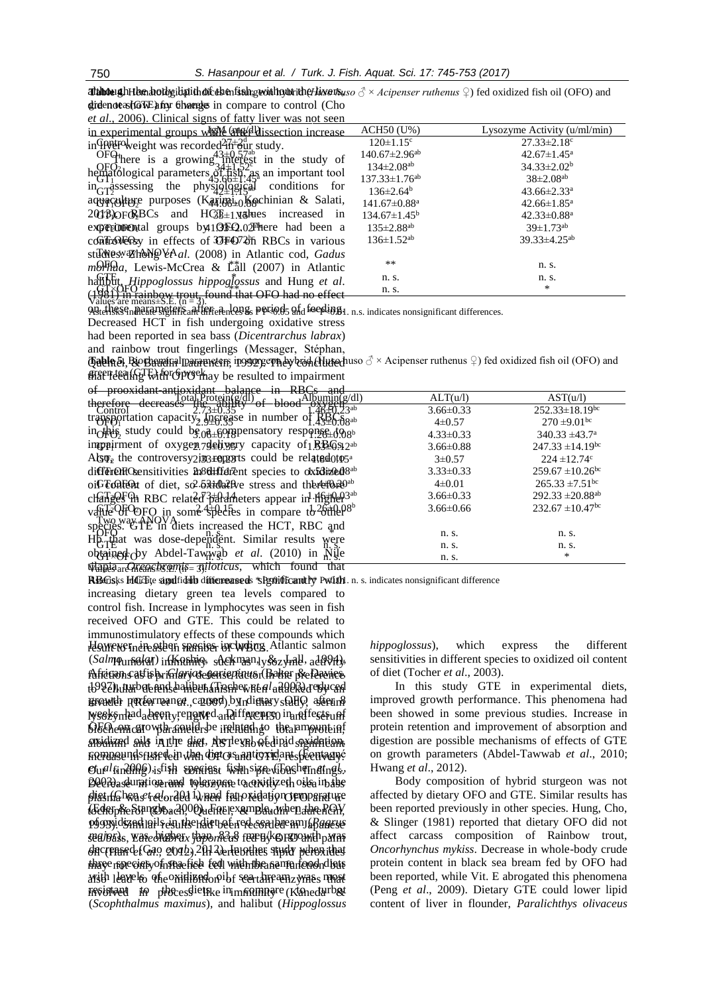*Thinnes* and the body interferies in fishing the interferit of the sturge of × *Acipenser ruthenus* ♀ ) fed oxidized fish oil (OFO) and gidenotasto we have to compare to control (Cho

| <i>et al.</i> , 2006). Clinical signs of fatty liver was not seen                                                                   |                             |                      |
|-------------------------------------------------------------------------------------------------------------------------------------|-----------------------------|----------------------|
| in experimental groups where $\mathbb{R}$ (anguaration increase                                                                     | ACH50 (U%)                  | Lysozyme Activity (u |
| in $\Omega$ in $\Omega$ is the eight was recorded $\Omega$ $\Omega$ and $\Omega$ and $\Omega$ in $\Omega$ in $\Omega$ is the study. | $120 \pm 1.15$ <sup>c</sup> | $27.33 \pm 2.18$     |
| $40.0 \pm 2h$<br>$\cap$                                                                                                             | $1.40 \times 7.0$ Ocah      | 40.7711.479          |

There is a growing interest in the study of hematólogical parameters  $\delta f$   $\bar{f}$ sh,  $\lambda$ s an important tool  $\text{in}$  discussing the physiological conditions for  $\frac{137.33\pm1.76}{136\pm2.64}$   $\frac{43.66\pm2.33}{43.66\pm2.33}$  $aq\bar{q}q\bar{q}q$  there purposes  $(Kaq\bar{q}q\bar{q}q)Kg$ chinian & Salati,  $141.67\pm0.88^{\circ}$  42.66 $\pm1.85^{\circ}$  $20\frac{1}{2}$  PoFo<sub>2</sub>BCs and HG<sub>5</sub><sup>1</sup> values increased in  $134.67 \pm 1.45$ <sup>b</sup> 42.33 $\pm$ 0.88<sup>a</sup> experimental groups by 10 BFO. 02 There had been a  $135 \pm 2.88$ <sup>ab</sup>  $39 \pm 1.73$ <sup>ab</sup> controversy in effects of OFO72th RBCs in various  $136 \pm 1.52^{ab}$  39.33 $\pm 4.25^{ab}$ studies. Zhong VAal. (2008) in Atlantic cod, Gadus *morhua*, Lewis-McCrea & L<sup>all</sup> (2007) in Atlantic \*\* \* \* \* n. s. halibut, *Hippoglossus hippoglossus* and Hung *et al*.  $\left(1\right)\times\left(1\right)$  in rainbow trout, found that OFO had no effect  $\text{OFG}^{\text{HCl}}$  and  $\text{GFT}^{\text{GUT}}$  and  $\text{GFT}^{\text{GUT}}$  and  $\text{GFT}^{\text{GUT}}$  and  $\text{GFT}^{\text{GUT}}$  and  $\text{GFT}^{\text{GUT}}$  and  $\text{GFT}^{\text{GUT}}$  and  $\text{GFT}^{\text{GUT}}$  and  $\text{GFT}^{\text{GUT}}$  and  $\text{GFT}^{\text{GUT}}$  and  $\text{GFT}^{\text{GUT}}$  and  $\widetilde{\text{GUE}}$   $\uparrow$   $\uparrow$   $\uparrow$   $\uparrow$   $\uparrow$   $\uparrow$   $\uparrow$   $\uparrow$   $\uparrow$   $\uparrow$   $\uparrow$   $\uparrow$   $\uparrow$   $\uparrow$   $\uparrow$   $\uparrow$   $\uparrow$   $\uparrow$   $\uparrow$   $\uparrow$   $\uparrow$   $\uparrow$   $\uparrow$   $\uparrow$   $\uparrow$   $\uparrow$   $\uparrow$   $\uparrow$   $\uparrow$   $\uparrow$   $\uparrow$   $\uparrow$   $\uparrow$   $\uparrow$   $\uparrow$  $G_{\rm G}^{\rm tree}$   $G_{\rm G}^{\rm tree}$   $G_{\rm G}^{\rm tree}$   $G_{\rm G}^{\rm tree}$   $G_{\rm G}^{\rm tree}$   $G_{\rm G}^{\rm tree}$   $G_{\rm G}^{\rm tree}$   $G_{\rm G}^{\rm tree}$   $G_{\rm G}^{\rm tree}$   $G_{\rm G}^{\rm tree}$   $G_{\rm G}^{\rm tree}$   $G_{\rm G}^{\rm tree}$   $G_{\rm G}^{\rm tree}$   $G_{\rm G}^{\rm tree}$   $G_{\rm G}^{\rm tree}$   $G_{\rm G}^{\rm tree$  $Values'$  are means $\pm$ S.E.  $(n = 3)$ .

vances are meansled. (in  $\frac{1}{2}$  if  $\frac{1}{2}$  if  $\frac{1}{2}$  and  $\frac{1}{2}$  and  $\frac{1}{2}$  and  $\frac{1}{2}$  and  $\frac{1}{2}$  and  $\frac{1}{2}$  and  $\frac{1}{2}$  and  $\frac{1}{2}$  and  $\frac{1}{2}$  and  $\frac{1}{2}$  and  $\frac{1}{2}$  and  $\frac{1}{2}$  and  $\frac$ Decreased HCT in fish undergoing oxidative stress had been reported in sea bass (*Dicentrarchus labrax*)

and rainbow trout fingerlings (Messager, Stéphan,

**Tabla 5.** Biorhaminal parameters, in sympeon hybrid (Huso duso ♂ × Acipenser ruthenus ♀) fed oxidized fish oil (OFO) and effect of the of prockay be resulted to impairment

of prooxidant-antioxidant balance in RBCs and  $\frac{10\alpha}{1000}$  therefore decreases  $\frac{10\alpha}{100}$  ability of blood  $\frac{0.001}{0.000}$   $\frac{0.0001}{0.000}$ transportation capacity. Increase in number of  $RBC_6$ in this study could be a compensatory response to  $4.33\pm0.33$   $340.33\pm43.7^{\circ}$ impairment of oxygen  $79$ chivery capacity of  $1 \cancel{B_2 \cancel{C_3} 12^{ab}}$  3.66±0.88 247.33 ±14.19<sup>bc</sup> Also, the controversy in reports could be related to the  $3\pm 0.57$  and  $3\pm 0.57$  and  $224 \pm 12.74$ different different species to  $dx$ 5d $dx$ 68<sup>ab</sup> 3.33±0.33 33.50.67 ±10.26<sup>bc</sup> oil content of diet, so  $2.5\frac{3}{20}$   $\frac{3}{20}$  ab  $\frac{4\pm0.01}{265.33\pm7.51}$  bc changes in RBC related  $\frac{3}{2}$ tah ab 1.46±0.33 3.66±0.33 292.33±20.88<sup>ab</sup> value Of OFO in some species in compare to other species. GTE in diets increased the HCT, RBC and Hb that was dose-dependent. Similar results were  $\overrightarrow{O}$ obtained by Abdel-Tawns ab *et al.* (2010) in  $\overrightarrow{n}$  wile  $\overrightarrow{n}$  is  $\overrightarrow{n}$  s.  $\overline{\text{Wapia}}$ archengeles emus = 3).loticus, which found that  $\text{Tota}_L \text{Priceing}(\text{g/d})$   $\longrightarrow$   $\text{A} \text{Down}(\text{g/d})$   $\longrightarrow$   $\text{ALT}(u/l)$   $\longrightarrow$   $\text{AST}(u/l)$  $\frac{252.33 \pm 18.19^{b}}{252.33 \pm 18.19^{b}}$  or  $\frac{252.33 \pm 18.19^{b}}{252.33 \pm 18.19^{b}}$  $\frac{270}{270}$  =9.01bc 1.43±0.08 ab Ofonda 1.43±0.08 ab  $\frac{4+0.57}{270}$  =  $270 \pm 9.01$  bc  $\frac{1}{26}$  $\frac{1}{26}$  $\frac{1}{26}$   $\frac{1}{26}$   $\frac{1}{26}$   $\frac{1}{26}$   $\frac{1}{26}$   $\frac{1}{26}$   $\frac{1}{26}$   $\frac{1}{26}$   $\frac{1}{26}$   $\frac{1}{26}$   $\frac{1}{26}$   $\frac{1}{26}$   $\frac{1}{26}$   $\frac{1}{26}$   $\frac{1}{26}$   $\frac{1}{26}$   $\frac{1}{26}$   $\frac{1}{26}$   $\frac$ Two way ANOVA  $\overline{OPQ}$  n. s.  $\overline{PQ}$  n. s.  $\overline{PQ}$  n. s.  $\overline{PQ}$  n. s.  $\overline{PQ}$  n. s. GTE n. s. n. s. n. s. n. s.

RBGsks HGGte signdfiddb difficreaseds \*Spoificantly Pwith n. s. indicates nonsignificant difference

Howevernere ateen species including Atlantic salmon (Salmo<sub>unite</sub> and in Karhio, sackman, y & zymu, add vity, African catfish, *Clarias gariepinus* (Baker & Davies, functions as a primary defense factor in the preference tb927)), thurbete find dahibut (Tocher re*al* aft)ORd reduced growth performance caused by dietary OFO after 8 invader (Ren *et al*., 2007). In this study, serum weekynlad adeen y reported and if for energy in and fest sunf  $\dot{\Theta}$ EO emicaro wth ameler be included to the amount inf and and a in the diet, ART level we dind symmetry increase nds fuse dein when diet cos and to xidant specula gré  $\epsilon$ urlfindihg), stish speriast fish sizre (Tochern*at* ngk, Belidaseuration rand tolerange to oxidized oils in the plist (ban *et dor* ded i<sub>v hen</sub>d fat oxidation temperature tGderpheFstangboach,0Queneerexampleudwhen the RGW of oxidized oils in the diet of red sea bream (*Pagrus* 1993). Similar results had been recorded in Japanese sea/bass, *Yase bilgbrax japoni*k2a8 fee byk©FCO amth palms decreased (Gao *etod*). 2014 ab tetothes study when that three not circly of spacies ted with the same food distri avsth leavels of e oxidized on ibi seartain ean zymes most involved to phe esdictike in municipal (Kanedarbet (*Scophthalmus maximus*), and halibut (*Hippoglossus*  increasing dietary green tea levels compared to control fish. Increase in lymphocytes was seen in fish received OFO and GTE. This could be related to immunostimulatory effects of these compounds which

| $u_1, u_2, u_3, u_4, u_5, u_6, u_7, u_8, u_9, u_1, u_2, u_3, u_1, u_2, u_3, u_4, u_5, u_6, u_7, u_8, u_9, u_1, u_2, u_3, u_4, u_7, u_8, u_9, u_1, u_2, u_3, u_4, u_7, u_8, u_9, u_1, u_2, u_3, u_4, u_5, u_7, u_8, u_9, u_1, u_2, u_3, u_4, u_5, u_7, u_8, u_9, u_1, u_2, u_3, u_4,$ |                                 |                               |
|--------------------------------------------------------------------------------------------------------------------------------------------------------------------------------------------------------------------------------------------------------------------------------------|---------------------------------|-------------------------------|
| experimental groups where endissection increase                                                                                                                                                                                                                                      | $ACH50$ (U%)                    | Lysozyme Activity (u/ml/min)  |
| $\frac{1}{4}$ Theorem was recorded $\frac{27+2}{40}$ study.                                                                                                                                                                                                                          | $120 \pm 1.15$ <sup>c</sup>     | $27.33 \pm 2.18$ °            |
| $\overline{OPG}$ here is a growing $3\pm\sqrt{3}$ $\frac{105}{2}$ here is a growing $3\pm\sqrt{2}$ here is a growing $\frac{13}{2}$                                                                                                                                                  | $140.67 \pm 2.96$ <sup>ab</sup> | $42.67 \pm 1.45^{\text{a}}$   |
|                                                                                                                                                                                                                                                                                      | $134 \pm 2.08$ <sup>ab</sup>    | $34.33 \pm 2.02^b$            |
| $\alpha$ order to a growing $\frac{31.18286}{150}$ as an important tool                                                                                                                                                                                                              | $137.33 \pm 1.76$ <sup>ab</sup> | $38\pm2.08^{ab}$              |
| $G \rightarrow G \rightarrow G$ assessing the physiplogrical conditions for                                                                                                                                                                                                          | $136 \pm 2.64^b$                | $43.66 \pm 2.33$ <sup>a</sup> |
| pacalture purposes (Karipai <sub>to</sub> ) Kochinian & Salati,                                                                                                                                                                                                                      | $141.67 \pm 0.88$ <sup>a</sup>  | $42.66 \pm 1.85$ <sup>a</sup> |
| $\frac{1}{2}$ OFGEBCs and HGF <sub>±1</sub> yapues increased in                                                                                                                                                                                                                      | $134.67 \pm 1.45^{\rm b}$       | $42.33 \pm 0.88$ <sup>a</sup> |
| <b>CONFIDENTIAL groups by 1950.02 There had been a</b>                                                                                                                                                                                                                               | $135 \pm 2.88$ <sup>ab</sup>    | $39 \pm 1.73$ <sup>ab</sup>   |
| Guilta Colection in effects of OGF4072th RBCs in various                                                                                                                                                                                                                             | $136 \pm 1.52$ <sup>ab</sup>    | $39.33\pm4.25^{ab}$           |
| Towesw@hongVeAal. (2008) in Atlantic cod, Gadus                                                                                                                                                                                                                                      |                                 |                               |
| OFfada, Lewis-McCrea & La <sup>*</sup> ill (2007) in Atlantic                                                                                                                                                                                                                        | **                              | n. s.                         |
| Street, <i>Hippoglossus hippoglossus</i> and Hung <i>et al.</i><br>He (Or Crainbow trout, found that OEO had no offect.                                                                                                                                                              | n. s.                           | n. s.                         |
|                                                                                                                                                                                                                                                                                      | n. s.                           | $*$                           |

*hippoglossus*), which express the different sensitivities in different species to oxidized oil content

of diet (Tocher *et al*., 2003). In this study GTE in experimental diets, improved growth performance. This phenomena had been showed in some previous studies. Increase in protein retention and improvement of absorption and digestion are possible mechanisms of effects of GTE on growth parameters (Abdel-Tawwab *et al*., 2010; Hwang *et al*., 2012).

Body composition of hybrid sturgeon was not affected by dietary OFO and GTE. Similar results has been reported previously in other species. Hung, Cho, & Slinger (1981) reported that dietary OFO did not affect carcass composition of Rainbow trout, *Oncorhynchus mykiss*. Decrease in whole-body crude protein content in black sea bream fed by OFO had been reported, while Vit. E abrogated this phenomena (Peng *et al*., 2009). Dietary GTE could lower lipid content of liver in flounder, *Paralichthys olivaceus*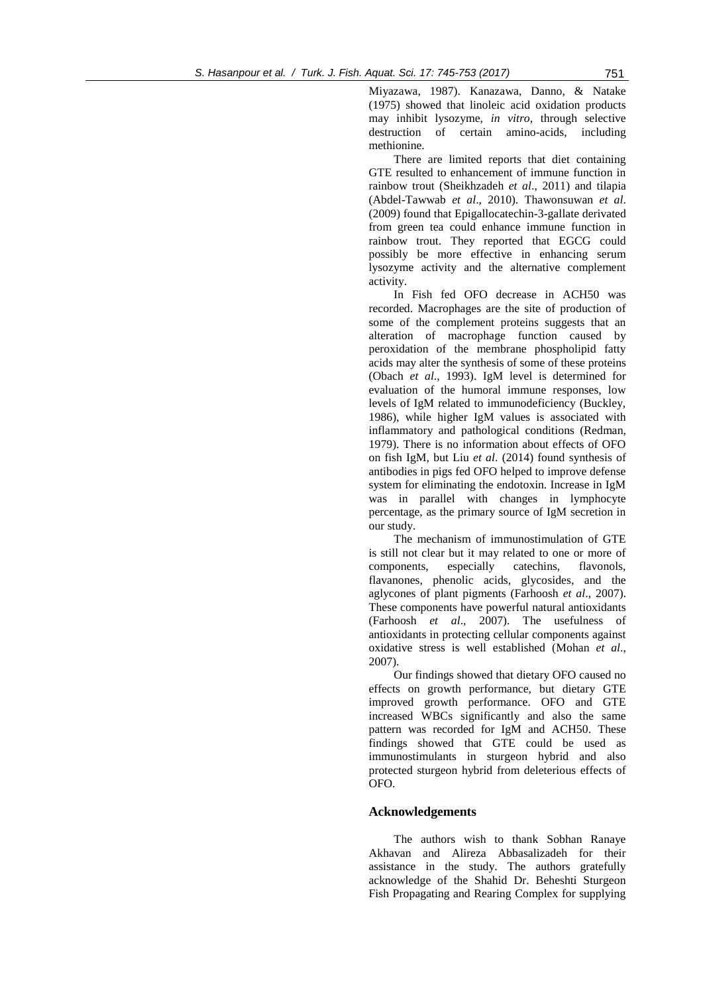Miyazawa, 1987). Kanazawa, Danno, & Natake (1975) showed that linoleic acid oxidation products may inhibit lysozyme, *in vitro*, through selective destruction of certain amino-acids, including methionine.

There are limited reports that diet containing GTE resulted to enhancement of immune function in rainbow trout (Sheikhzadeh *et al*., 2011) and tilapia (Abdel-Tawwab *et al*., 2010). Thawonsuwan *et al*. (2009) found that Epigallocatechin-3-gallate derivated from green tea could enhance immune function in rainbow trout. They reported that EGCG could possibly be more effective in enhancing serum lysozyme activity and the alternative complement activity.

In Fish fed OFO decrease in ACH50 was recorded. Macrophages are the site of production of some of the complement proteins suggests that an alteration of macrophage function caused by peroxidation of the membrane phospholipid fatty acids may alter the synthesis of some of these proteins (Obach *et al*., 1993). IgM level is determined for evaluation of the humoral immune responses, low levels of IgM related to immunodeficiency (Buckley, 1986), while higher IgM values is associated with inflammatory and pathological conditions (Redman, 1979). There is no information about effects of OFO on fish IgM, but Liu *et al*. (2014) found synthesis of antibodies in pigs fed OFO helped to improve defense system for eliminating the endotoxin. Increase in IgM was in parallel with changes in lymphocyte percentage, as the primary source of IgM secretion in our study.

The mechanism of immunostimulation of GTE is still not clear but it may related to one or more of components, especially catechins, flavonols, flavanones, phenolic acids, glycosides, and the aglycones of plant pigments (Farhoosh *et al*., 2007). These components have powerful natural antioxidants (Farhoosh *et al*., 2007). The usefulness of antioxidants in protecting cellular components against oxidative stress is well established (Mohan *et al*., 2007).

Our findings showed that dietary OFO caused no effects on growth performance, but dietary GTE improved growth performance. OFO and GTE increased WBCs significantly and also the same pattern was recorded for IgM and ACH50. These findings showed that GTE could be used as immunostimulants in sturgeon hybrid and also protected sturgeon hybrid from deleterious effects of OFO.

# **Acknowledgements**

The authors wish to thank Sobhan Ranaye Akhavan and Alireza Abbasalizadeh for their assistance in the study. The authors gratefully acknowledge of the Shahid Dr. Beheshti Sturgeon Fish Propagating and Rearing Complex for supplying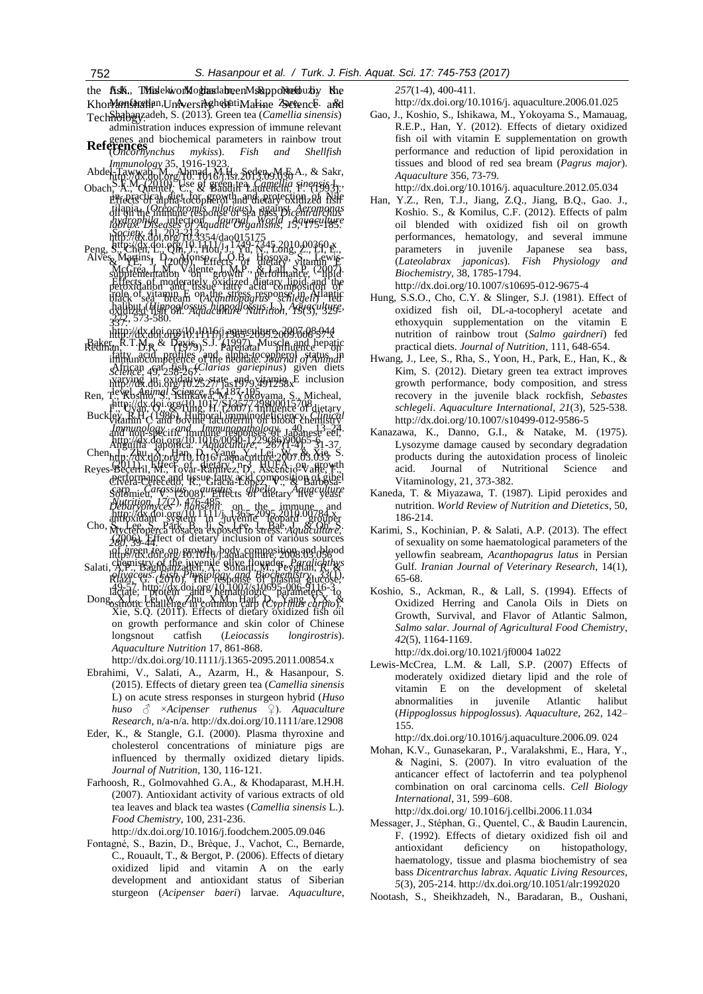the *fish*, Thirdekwork og than dato en Ms Rapport ten but y Khe Khor**Monfaratia**n,University abatiMarine ZerencE and Technologyzadeh, S. (2013). Green tea (*Camellia sinensis*)

**References** and biochemical parameters in rainbow trout<br> **References** administration induces expression of immune relevant (*Oncorhynchus mykiss*). *[Fish and Shellfish](http://www.ncbi.nlm.nih.gov/pubmed/24096104)* 

Abdel-Tawwab, M., Ahmad, M.H., Seden, M.E.A., & Sakr, *[Immunology](http://www.ncbi.nlm.nih.gov/pubmed/24096104)* 35, 1916-1923. http://dx.doi.org/10. 1016/j.fsi.2013.09.030

- S.F.M. (2010). Use of green tea, *Camellia sinensis* L., in practical diet for growth and protection of Nile tilapia, (*Oreochromis niloticus*), against *Aeromonas hydrophila* infection. *Journal World Aquaculture Society*, 41, 203-213. Obach, A., Quentel, C., & Baudin Laurencin, F. (1993). Effects of alpha-tocopherol and dietary oxidized fish oil on the immune response of sea bass *Dicentrarchus labrax*. *Diseases of Aquatic Organisms*, *15*, 175-185. http://dx.doi.6rg/10.3354/dao015175
- $\frac{1}{2}$ http://dx.doi.org/10.1411/j. 1749-7345.2010.00360.x Alves Martins,  $D_{20}$  Afonso  $f_{\rm tot}$ ,  $D_{\rm B}$ ,  $H_{\rm OSQY3}$ ,  $S_{\rm tot}$  Hosova,  $S_{\rm tot}$  Howis-McCrea, L.M., Valente, L.M.P., & Lall, S.P. (2007). Effects of moderately oxidized dietary lipid and the role of vitamin E on the stress response in Atlantic halibut (*Hippoglossus hippoglossus* L.). *Aquaculture*, 272, 573-580. oxidized fish oil. *Aquaculture Nutrition*, *15*(3), 329- Peng, S., Chen, L., Qh., J., Hol, J., Yd, N., Long, Z., LI, E., se Weiterlinst. V<sub>2009</sub>911seffects Def dietary vitamin E supplementation valence to Wh<sup>P</sup>., performance, <sup>(2</sup>H)<sup>d</sup>d peroxidation and tissue fatty acid composition of black sea bream (*Acanthopagrus schlegeli*) fed 337.

[http://dx.doi.org/10.1016/j.aquaculture.](http://dx.doi.org/10.1016/j.aquaculture.2007.08.044) 2007.08.044 HHB://dx.d61.ofg/10.111119;1 r889-9691.<br>Baker, R.T.M.p & Daviso\S.J. 61.297.). Muscle and hepatic

- fatty acid profiles and alpha-tocopherol status in African cat fish (*Clarias gariepinus*) given diets immunocompetence of the neonate. *Journal of Animal*  varying in oxidative state and vitamin E inclusion level. *Animal Science*, 64, 187-195. Redman, D.R. (1979). Parenatal unique departe *Science*, 49, 258-267. http://dx.doi.org/10.2527/ jas1979.491258x
- http://dx.doi.org/10.1017/S1357729800015708 Ren, Teyel, A*nimai Science, S*<sup>4</sup>M<sup>8</sup>Yokoyama, <u>S.,</u> Micheal, F., Uyan, O., & Tung, H. (2007). Influence of dietary
- Buckley, R.H. (1986). Humoral immunodeficiency. *[Clinical](http://www.sciencedirect.com/science/journal/00901229)*  vitamin C and bovine lactoferrin on blood chemistry *[Immunology and Immunopathology](http://www.sciencedirect.com/science/journal/00901229)*, 40, 13–24. http://dx.doi.org[/10.1016/0090-1229\(86\)90065-6](http://dx.doi.org/10.1016/0090-1229(86)90065-6)  $Chen_{\mathbf{h},\mathbf{f},\mathbf{n}}$ ,  $\mathbb{Z}[\mathbf{w},\mathbf{X}]$ , Han,  $\mathbf{p}_{1}$ ,  $\mathbf{y}_{2}$ ,  $\mathbf{y}_{3}$ ,  $\mathbf{y}_{3}$ ,  $\mathbf{y}_{4}$ ,  $\mathbf{f}_{5}$ ,  $\mathbf{y}_{5}$ ,  $\mathbf{y}_{6}$ ,  $\mathbf{y}_{7}$ ,  $\mathbf{y}_{8}$ ,  $\mathbf{y}_{9}$ ,  $\mathbf{y}_{9}$ ,  $\mathbf{y}_{9}$ ,  $\mathbf{y}_{9}$ ,  $\$ and non-specific immunities responses of Japanese  $\bar{e}$ eel, Anguilla japonica. *Aquaculture*, *267*(1-4), 31-37.
- $(2011)$ . Effect of dietary  $n_2$  HUFA:  $op_{\ell}$  growth performance and tissue fatty acid composition of gibel carp *Carassius auratus gibelio*. *Aquaculture Nutrition*, *17*(2), 476-485. http://dx.doi.org/10.11.11/j.,1365-2095.2010.00784.x http://dx.doi.org/10.1016/j.aquaculture.2007.03.033 Reyes-Becerril, M., Tovar-Ramírez, D., Ascencio-Valle, F., Civera-Cerecedo, R., Gracia-López, V., & Barbosa-Solomieu, V. (2008). Effects of each ary Hive yeast *Debaryomyces hansenii* on the immune and antioxidant system i in Julyemile Digopard Ul/84 Ser
- $\text{Cho}, \sum_{\mathbf{b}} \text{Lge, } \sum_{\mathbf{c}} \text{Park}, \sum_{\mathbf{a}} \text{Lge, } \sum_{\mathbf{c}} \text{Lge, } \sum_{\mathbf{c}} \text{Lge, } \sum_{\mathbf{a}} \text{C} \text{Ohe}^{\mathbf{c}}$ (2006). Effect of dietary inclusion of various sources of green tea on growth, body composition and blood chemistry of the juvenile olive flounder, *Paralichthys*  Mycteroperca rosacea exposed to stress. *Aquaculture*, *280*, 39-44. http://dx.doi.org/10.1016/j.aquaculture. 2008.03.056 Salati, A.P., Baghbanzadeh, A., Soltani, M., Peyghan, R. &
- *olivaceus*. *Fish Physiology and Biochemistry*, *33*(1), 49-57. http://dx.doi.org/10.1007/s10695-006-9116-3 Riazi, G. (2010). The response of plasma glucose, lactate, protein and hematologic parameters to
- $\rm{Dom}_{\rm{Z}}$ , X.L., Lei, W., Zhu, X.M., Han,  $D_{\rm{z}}$ , Yang,  $\chi_{\rm{z}}$ , X. Xie, S.Q. (2011). Effects of dietary oxidized fish oil on growth performance and skin color of Chinese longsnout catfish (*Leiocassis longirostris*). *Aquaculture Nutrition* 17, 861-868. osmotic challenge in common carp (*Cyprinus carpio*).

http://dx.doi.org/10.1111/j.1365-2095.2011.00854.x

- Ebrahimi, V., Salati, A., Azarm, H., & Hasanpour, S. (2015). Effects of dietary green tea (*Camellia sinensis*  L) on acute stress responses in sturgeon hybrid (*Huso huso* ♂ ×*Acipenser ruthenus* ♀). *Aquaculture Research*, n/a-n/a. http://dx.doi.org/10.1111/are.12908
- Eder, K., & Stangle, G.I. (2000). Plasma thyroxine and cholesterol concentrations of miniature pigs are influenced by thermally oxidized dietary lipids. *Journal of Nutrition,* 130, 116-121.
- Farhoosh, R., Golmovahhed G.A., & Khodaparast, M.H.H. (2007). Antioxidant activity of various extracts of old tea leaves and black tea wastes (*Camellia sinensis* L.). *Food Chemistry*, 100, 231-236.

http://dx.doi.org/10.1016/j.foodchem.2005.09.046

Fontagné, S., Bazin, D., Brèque, J., Vachot, C., Bernarde, C., Rouault, T., & Bergot, P. (2006). Effects of dietary oxidized lipid and vitamin A on the early development and antioxidant status of Siberian sturgeon (*Acipenser baeri*) larvae. *Aquaculture*, *257*(1-4), 400-411.

http://dx.doi.org/10.1016/j. aquaculture.2006.01.025

Gao, J., Koshio, S., Ishikawa, M., Yokoyama S., Mamauag, R.E.P., Han, Y. (2012). Effects of dietary oxidized fish oil with vitamin E supplementation on growth performance and reduction of lipid peroxidation in tissues and blood of red sea bream (*Pagrus major*). *Aquaculture* 356, 73-79.

http://dx.doi.org/10.1016/j. aquaculture.2012.05.034

Han, Y.Z., Ren, T.J., Jiang, Z.Q., Jiang, B.Q., Gao. J., Koshio. S., & Komilus, C.F. (2012). Effects of palm oil blended with oxidized fish oil on growth performances, hematology, and several immune parameters in juvenile Japanese sea bass, (*Lateolabrax japonicas*). *Fish Physiology and Biochemistry*, 38, 1785-1794.

http://dx.doi.or[g/10.1007/s10695-012-9675-4](https://dx.doi.org/10.1007/s10695-012-9675-4)

- Hung, S.S.O., Cho, C.Y. & Slinger, S.J. (1981). Effect of oxidized fish oil, DL-a-tocopheryl acetate and ethoxyquin supplementation on the vitamin E nutrition of rainbow trout (*Salmo gairdneri*) fed practical diets. *[Journal of Nutrition](http://jn.nutrition.org/)*, 111, 648-654.
- Hwang, J., Lee, S., Rha, S., Yoon, H., Park, E., Han, K., & Kim, S. (2012). Dietary green tea extract improves growth performance, body composition, and stress recovery in the juvenile black rockfish, *Sebastes schlegeli*. *Aquaculture International*, *21*(3), 525-538. http://dx.doi.org/10.1007/s10499-012-9586-5
- [Kanazawa, K.,](https://www.ncbi.nlm.nih.gov/pubmed/?term=Kanazawa%20K%5BAuthor%5D&cauthor=true&cauthor_uid=6640) [Danno, G.I.,](https://www.ncbi.nlm.nih.gov/pubmed/?term=Danno%20Gi%5BAuthor%5D&cauthor=true&cauthor_uid=6640) & [Natake, M.](https://www.ncbi.nlm.nih.gov/pubmed/?term=Natake%20M%5BAuthor%5D&cauthor=true&cauthor_uid=6640) (1975). Lysozyme damage caused by secondary degradation products during the autoxidation process of linoleic acid. Journal of Nutritional Science and Vitaminology, 21, 373-382.
- Kaneda, T. & Miyazawa, T. (1987). Lipid peroxides and nutrition. *[World Review of Nutrition and Dietetics](https://www.karger.com/wrund)*, 50, 186-214.
- Karimi, S., Kochinian, P. & Salati, A.P. (2013). The effect of sexuality on some haematological parameters of the yellowfin seabream, *Acanthopagrus latus* in Persian Gulf. *Iranian Journal of Veterinary Research*, 14(1), 65-68.
- Koshio, S., Ackman, R., & Lall, S. (1994). Effects of Oxidized Herring and Canola Oils in Diets on Growth, Survival, and Flavor of Atlantic Salmon, *Salmo salar*. *Journal of Agricultural Food Chemistry*, *42*(5), 1164-1169.

http://dx.doi.org/10.1021/jf0004 1a022

Lewis-McCrea, L.M. & Lall, S.P. (2007) Effects of moderately oxidized dietary lipid and the role of vitamin E on the development of skeletal abnormalities in juvenile Atlantic halibut (*Hippoglossus hippoglossus*). *Aquaculture*, 262, 142– 155.

http://dx.doi.org/10.1016/j.aquaculture.2006.09. 024

Mohan, K.V., Gunasekaran, P., Varalakshmi, E., Hara, Y., & Nagini, S. (2007). In vitro evaluation of the anticancer effect of lactoferrin and tea polyphenol combination on oral carcinoma cells. *Cell Biology International*, 31, 599–608.

http://dx.doi.org/ [10.1016/j.cellbi.2006.11.034](https://dx.doi.org/10.1016/j.cellbi.2006.11.034)

- Messager, J., Stéphan, G., Quentel, C., & Baudin Laurencin, F. (1992). Effects of dietary oxidized fish oil and antioxidant deficiency on histopathology, haematology, tissue and plasma biochemistry of sea bass *Dicentrarchus labrax*. *Aquatic Living Resources*, *5*(3), 205-214. http://dx.doi.org/10.1051/alr:1992020
- [Nootash, S.,](http://www.ncbi.nlm.nih.gov/pubmed/?term=Nootash%20S%5BAuthor%5D&cauthor=true&cauthor_uid=24096104) [Sheikhzadeh, N.,](http://www.ncbi.nlm.nih.gov/pubmed/?term=Sheikhzadeh%20N%5BAuthor%5D&cauthor=true&cauthor_uid=24096104) [Baradaran, B.](http://www.ncbi.nlm.nih.gov/pubmed/?term=Baradaran%20B%5BAuthor%5D&cauthor=true&cauthor_uid=24096104), [Oushani,](http://www.ncbi.nlm.nih.gov/pubmed/?term=Oushani%20AK%5BAuthor%5D&cauthor=true&cauthor_uid=24096104)